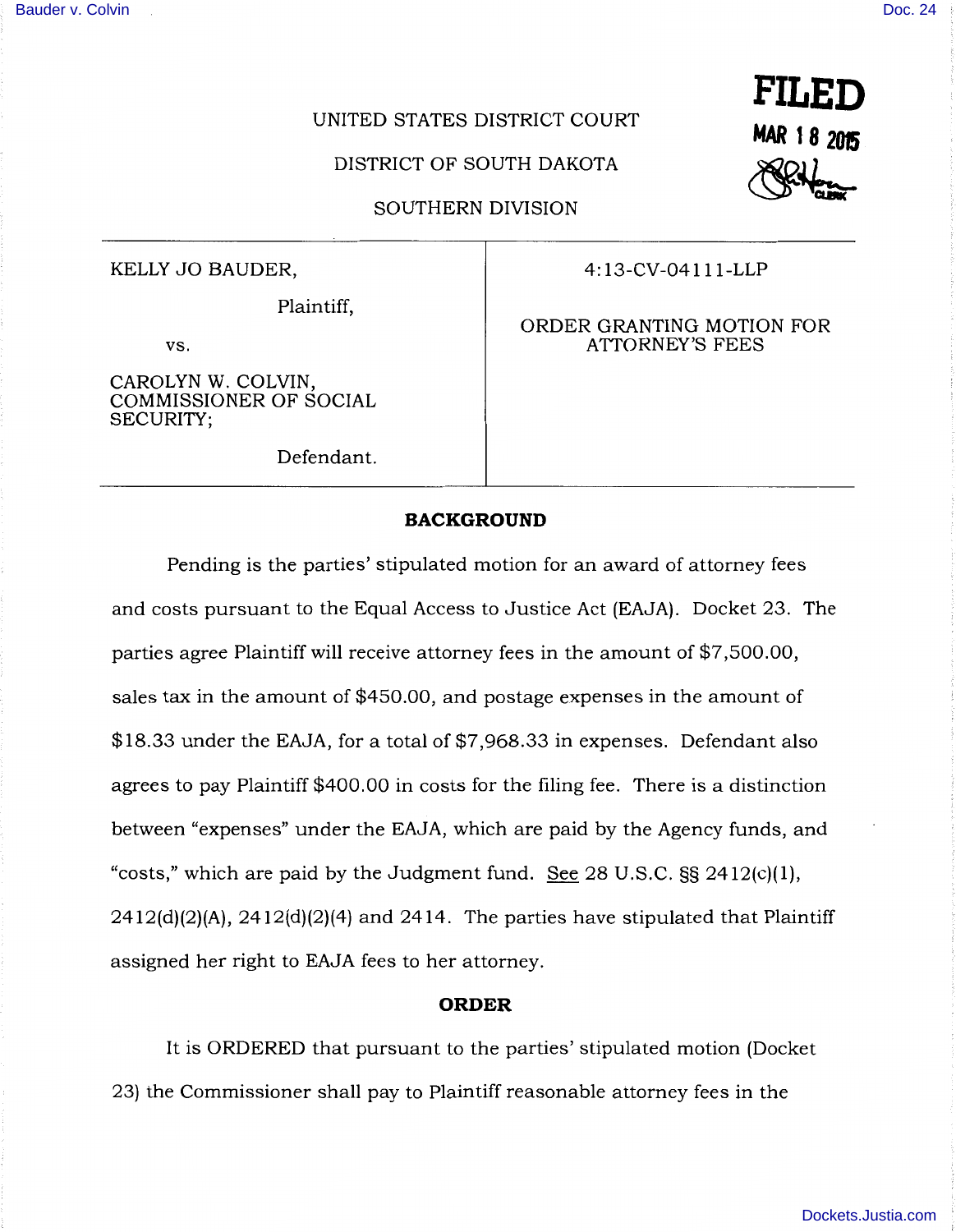# UNITED STATES DISTRICT COURT

DISTRICT OF SOUTH DAKOTA

SOUTHERN DIVISION

Plaintiff,

vs.

CAROLYN W. COLVIN, COMMISSIONER OF SOCIAL SECURITY;

Defendant.

# KELLY JO BAUDER,  $4:13$ -CV-04111-LLP

### ORDER GRANTING MOTION FOR ATTORNEY'S FEES

# **BACKGROUND**

Pending is the parties' stipulated motion for an award of attorney fees and costs pursuant to the Equal Access to Justice Act (EAJA). Docket 23. The parties agree Plaintiff will receive attorney fees in the amount of \$7,500.00, sales tax in the amount of \$450.00, and postage expenses in the amount of \$18.33 under the EAJA, for a total of \$7,968.33 in expenses. Defendant also agrees to pay Plaintiff \$400.00 in costs for the filing fee. There is a distinction between "expenses" under the EAJA, which are paid by the Agency funds, and "costs," which are paid by the Judgment fund. See  $28 \text{ U.S.C.}$  SS  $2412 \text{(c)}(1)$ ,  $2412(d)(2)(A)$ ,  $2412(d)(2)(4)$  and  $2414$ . The parties have stipulated that Plaintiff assigned her right to EAJA fees to her attorney.

#### **ORDER**

It is ORDERED that pursuant to the parties' stipulated motion (Docket 23) the Commissioner shall pay to Plaintiff reasonable attorney fees in the